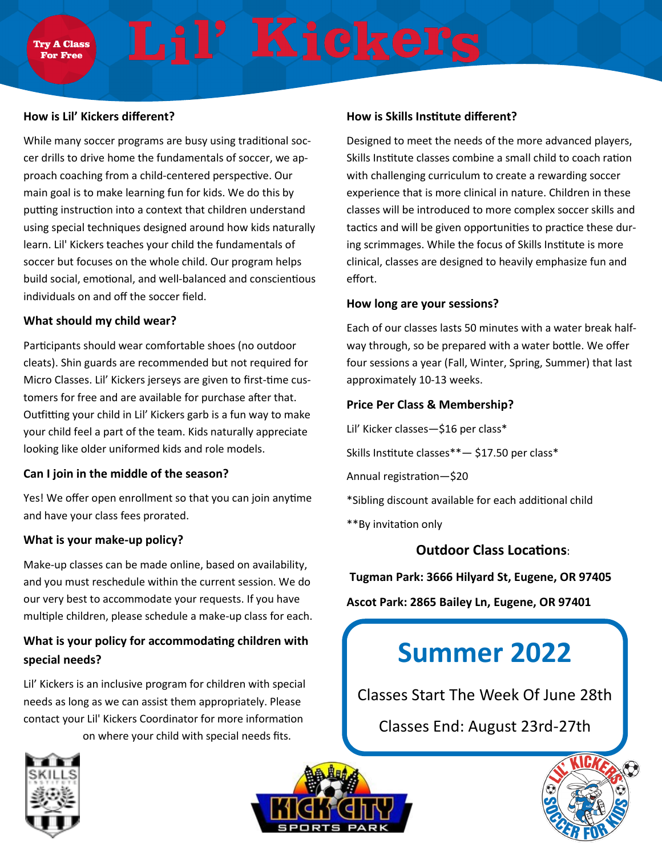## **How is Lil' Kickers different?**

While many soccer programs are busy using traditional soccer drills to drive home the fundamentals of soccer, we approach coaching from a child-centered perspective. Our main goal is to make learning fun for kids. We do this by putting instruction into a context that children understand using special techniques designed around how kids naturally learn. Lil' Kickers teaches your child the fundamentals of soccer but focuses on the whole child. Our program helps build social, emotional, and well-balanced and conscientious individuals on and off the soccer field.

### **What should my child wear?**

Participants should wear comfortable shoes (no outdoor cleats). Shin guards are recommended but not required for Micro Classes. Lil' Kickers jerseys are given to first-time customers for free and are available for purchase after that. Outfitting your child in Lil' Kickers garb is a fun way to make your child feel a part of the team. Kids naturally appreciate looking like older uniformed kids and role models.

#### **Can I join in the middle of the season?**

Yes! We offer open enrollment so that you can join anytime and have your class fees prorated.

# **What is your make-up policy?**

Make-up classes can be made online, based on availability, and you must reschedule within the current session. We do our very best to accommodate your requests. If you have multiple children, please schedule a make-up class for each.

# **What is your policy for accommodating children with special needs?**

Lil' Kickers is an inclusive program for children with special needs as long as we can assist them appropriately. Please contact your Lil' Kickers Coordinator for more information on where your child with special needs fits.



Designed to meet the needs of the more advanced players, Skills Institute classes combine a small child to coach ration with challenging curriculum to create a rewarding soccer experience that is more clinical in nature. Children in these classes will be introduced to more complex soccer skills and tactics and will be given opportunities to practice these during scrimmages. While the focus of Skills Institute is more clinical, classes are designed to heavily emphasize fun and effort.

### **How long are your sessions?**

Each of our classes lasts 50 minutes with a water break halfway through, so be prepared with a water bottle. We offer four sessions a year (Fall, Winter, Spring, Summer) that last approximately 10-13 weeks.

# **Price Per Class & Membership?**

Lil' Kicker classes—\$16 per class\*

Skills Institute classes\*\*— \$17.50 per class\*

Annual registration—\$20

\*Sibling discount available for each additional child

\*\*By invitation only

# **Outdoor Class Locations**:

**Tugman Park: 3666 Hilyard St, Eugene, OR 97405** 

**Ascot Park: 2865 Bailey Ln, Eugene, OR 97401** 

# **Summer 2022**

Classes Start The Week Of June 28th

Classes End: August 23rd-27th